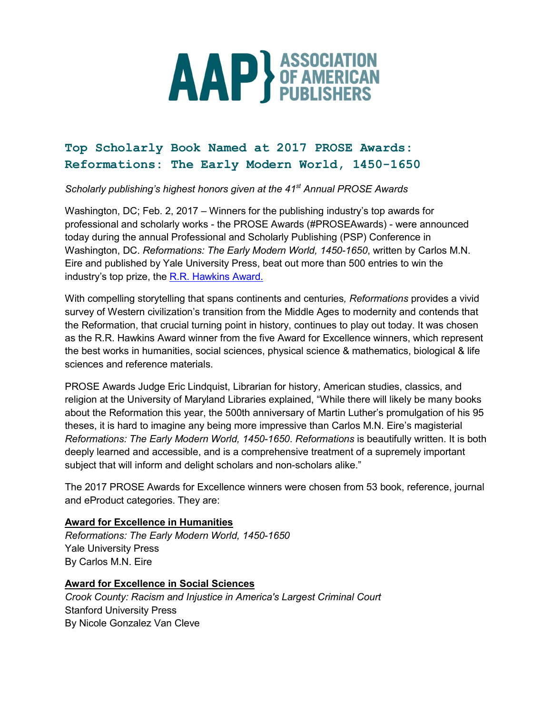

# Top Scholarly Book Named at 2017 PROSE Awards: Reformations: The Early Modern World, 1450-1650

*Scholarly publishing's highest honors given at the 41st Annual PROSE Awards* 

Washington, DC; Feb. 2, 2017 *–* Winners for the publishing industry's top awards for professional and scholarly works - the PROSE Awards (#PROSEAwards) - were announced today during the annual Professional and Scholarly Publishing (PSP) Conference in Washington, DC. *Reformations: The Early Modern World, 1450-1650*, written by Carlos M.N. Eire and published by Yale University Press, beat out more than 500 entries to win the industry's top prize, the R.R. Hawkins Award.

With compelling storytelling that spans continents and centuries*, Reformations* provides a vivid survey of Western civilization's transition from the Middle Ages to modernity and contends that the Reformation, that crucial turning point in history, continues to play out today. It was chosen as the R.R. Hawkins Award winner from the five Award for Excellence winners, which represent the best works in humanities, social sciences, physical science & mathematics, biological & life sciences and reference materials.

PROSE Awards Judge Eric Lindquist, Librarian for history, American studies, classics, and religion at the University of Maryland Libraries explained, "While there will likely be many books about the Reformation this year, the 500th anniversary of Martin Luther's promulgation of his 95 theses, it is hard to imagine any being more impressive than Carlos M.N. Eire's magisterial *Reformations: The Early Modern World, 1450-1650*. *Reformations* is beautifully written. It is both deeply learned and accessible, and is a comprehensive treatment of a supremely important subject that will inform and delight scholars and non-scholars alike."

The 2017 PROSE Awards for Excellence winners were chosen from 53 book, reference, journal and eProduct categories. They are:

# Award for Excellence in Humanities

*Reformations: The Early Modern World, 1450-1650* Yale University Press By Carlos M.N. Eire

# Award for Excellence in Social Sciences

*Crook County: Racism and Injustice in America's Largest Criminal Court* Stanford University Press By Nicole Gonzalez Van Cleve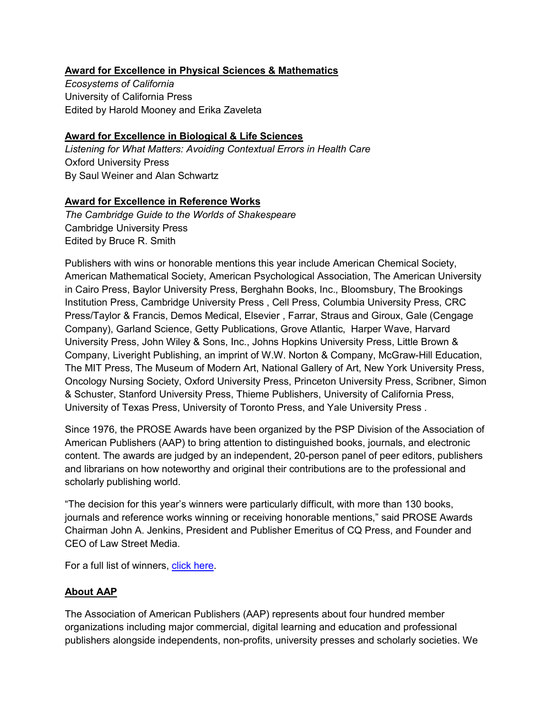# Award for Excellence in Physical Sciences & Mathematics

*Ecosystems of California* University of California Press Edited by Harold Mooney and Erika Zaveleta

### Award for Excellence in Biological & Life Sciences

*Listening for What Matters: Avoiding Contextual Errors in Health Care* Oxford University Press By Saul Weiner and Alan Schwartz

#### Award for Excellence in Reference Works

*The Cambridge Guide to the Worlds of Shakespeare*  Cambridge University Press Edited by Bruce R. Smith

Publishers with wins or honorable mentions this year include American Chemical Society, American Mathematical Society, American Psychological Association, The American University in Cairo Press, Baylor University Press, Berghahn Books, Inc., Bloomsbury, The Brookings Institution Press, Cambridge University Press , Cell Press, Columbia University Press, CRC Press/Taylor & Francis, Demos Medical, Elsevier , Farrar, Straus and Giroux, Gale (Cengage Company), Garland Science, Getty Publications, Grove Atlantic, Harper Wave, Harvard University Press, John Wiley & Sons, Inc., Johns Hopkins University Press, Little Brown & Company, Liveright Publishing, an imprint of W.W. Norton & Company, McGraw-Hill Education, The MIT Press, The Museum of Modern Art, National Gallery of Art, New York University Press, Oncology Nursing Society, Oxford University Press, Princeton University Press, Scribner, Simon & Schuster, Stanford University Press, Thieme Publishers, University of California Press, University of Texas Press, University of Toronto Press, and Yale University Press .

Since 1976, the PROSE Awards have been organized by the PSP Division of the Association of American Publishers (AAP) to bring attention to distinguished books, journals, and electronic content. The awards are judged by an independent, 20-person panel of peer editors, publishers and librarians on how noteworthy and original their contributions are to the professional and scholarly publishing world.

"The decision for this year's winners were particularly difficult, with more than 130 books, journals and reference works winning or receiving honorable mentions," said PROSE Awards Chairman John A. Jenkins, President and Publisher Emeritus of CQ Press, and Founder and CEO of Law Street Media.

For a full list of winners, click here.

# About AAP

The Association of American Publishers (AAP) represents about four hundred member organizations including major commercial, digital learning and education and professional publishers alongside independents, non-profits, university presses and scholarly societies. We